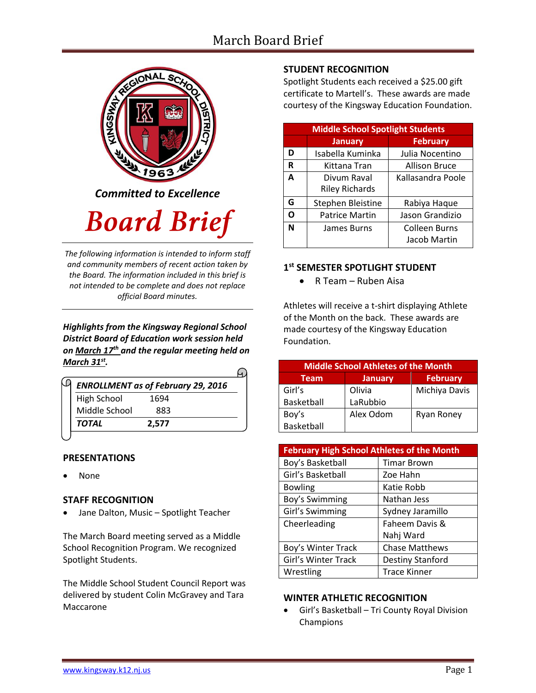# March Board Brief



*Committed to Excellence*

# **Board Brief**

*The following information is intended to inform staff and community members of recent action taken by the Board. The information included in this brief is not intended to be complete and does not replace official Board minutes.*

*Highlights from the Kingsway Regional School District Board of Education work session held on March 17th and the regular meeting held on March 31st .* 

|                    | <b>ENROLLMENT as of February 29, 2016</b> |  |
|--------------------|-------------------------------------------|--|
| <b>High School</b> | 1694                                      |  |
| Middle School      | 883                                       |  |
| <b>TOTAL</b>       | 2,577                                     |  |

#### **PRESENTATIONS**

None

#### **STAFF RECOGNITION**

Jane Dalton, Music – Spotlight Teacher

The March Board meeting served as a Middle School Recognition Program. We recognized Spotlight Students.

The Middle School Student Council Report was delivered by student Colin McGravey and Tara Maccarone

# **STUDENT RECOGNITION**

Spotlight Students each received a \$25.00 gift certificate to Martell's. These awards are made courtesy of the Kingsway Education Foundation.

| <b>Middle School Spotlight Students</b> |                       |                   |  |
|-----------------------------------------|-----------------------|-------------------|--|
|                                         | <b>January</b>        | <b>February</b>   |  |
| D                                       | Isabella Kuminka      | Julia Nocentino   |  |
| R                                       | Kittana Tran          | Allison Bruce     |  |
| A                                       | Divum Raval           | Kallasandra Poole |  |
|                                         | <b>Riley Richards</b> |                   |  |
| G                                       | Stephen Bleistine     | Rabiya Haque      |  |
| O                                       | <b>Patrice Martin</b> | Jason Grandizio   |  |
| N                                       | James Burns           | Colleen Burns     |  |
|                                         |                       | Jacob Martin      |  |

# **1 st SEMESTER SPOTLIGHT STUDENT**

R Team – Ruben Aisa

Athletes will receive a t-shirt displaying Athlete of the Month on the back. These awards are made courtesy of the Kingsway Education Foundation.

| <b>Middle School Athletes of the Month</b> |                |                   |  |
|--------------------------------------------|----------------|-------------------|--|
| <b>Team</b>                                | <b>January</b> | <b>February</b>   |  |
| Girl's                                     | Olivia         | Michiya Davis     |  |
| Basketball                                 | LaRubbio       |                   |  |
| Boy's                                      | Alex Odom      | <b>Ryan Roney</b> |  |
| Basketball                                 |                |                   |  |

| <b>February High School Athletes of the Month</b> |                       |  |
|---------------------------------------------------|-----------------------|--|
| Boy's Basketball                                  | <b>Timar Brown</b>    |  |
| Girl's Basketball                                 | Zoe Hahn              |  |
| <b>Bowling</b>                                    | Katie Robb            |  |
| Boy's Swimming                                    | Nathan Jess           |  |
| Girl's Swimming                                   | Sydney Jaramillo      |  |
| Cheerleading                                      | Faheem Davis &        |  |
|                                                   | Nahj Ward             |  |
| Boy's Winter Track                                | <b>Chase Matthews</b> |  |
| Girl's Winter Track                               | Destiny Stanford      |  |
| Wrestling                                         | <b>Trace Kinner</b>   |  |

#### **WINTER ATHLETIC RECOGNITION**

 Girl's Basketball – Tri County Royal Division Champions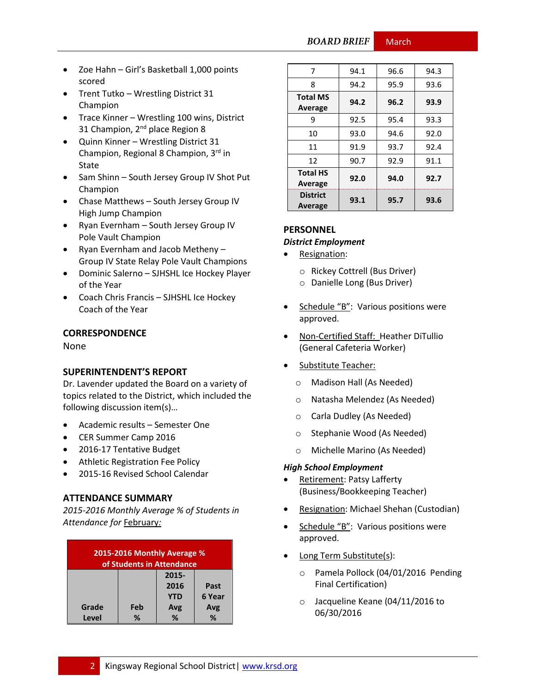**BOARD BRIEF March** 

- Zoe Hahn Girl's Basketball 1,000 points scored
- Trent Tutko Wrestling District 31 Champion
- Trace Kinner Wrestling 100 wins, District 31 Champion, 2<sup>nd</sup> place Region 8
- Quinn Kinner Wrestling District 31 Champion, Regional 8 Champion, 3rd in State
- Sam Shinn South Jersey Group IV Shot Put Champion
- Chase Matthews South Jersey Group IV High Jump Champion
- Ryan Evernham South Jersey Group IV Pole Vault Champion
- Ryan Evernham and Jacob Metheny -Group IV State Relay Pole Vault Champions
- Dominic Salerno SJHSHL Ice Hockey Player of the Year
- Coach Chris Francis SJHSHL Ice Hockey Coach of the Year

#### **CORRESPONDENCE**

None

#### **SUPERINTENDENT'S REPORT**

Dr. Lavender updated the Board on a variety of topics related to the District, which included the following discussion item(s)…

- Academic results Semester One
- CER Summer Camp 2016
- 2016-17 Tentative Budget
- Athletic Registration Fee Policy
- 2015-16 Revised School Calendar

#### **ATTENDANCE SUMMARY**

*2015-2016 Monthly Average % of Students in Attendance for* February*:*

| 2015-2016 Monthly Average %<br>of Students in Attendance |     |            |        |
|----------------------------------------------------------|-----|------------|--------|
|                                                          |     | 2015-      |        |
|                                                          |     | 2016       | Past   |
|                                                          |     | <b>YTD</b> | 6 Year |
| Grade                                                    | Feb | Avg        | Avg    |
| Level                                                    | ℅   | %          | %      |

| 7                                 | 94.1 | 96.6 | 94.3 |
|-----------------------------------|------|------|------|
| 8                                 | 94.2 | 95.9 | 93.6 |
| <b>Total MS</b><br><b>Average</b> | 94.2 | 96.2 | 93.9 |
| 9                                 | 92.5 | 95.4 | 93.3 |
| 10                                | 93.0 | 94.6 | 92.0 |
| 11                                | 91.9 | 93.7 | 92.4 |
| 12                                | 90.7 | 92.9 | 91.1 |
| <b>Total HS</b><br>Average        | 92.0 | 94.0 | 92.7 |
| <b>District</b><br>Average        | 93.1 | 95.7 | 93.6 |

# **PERSONNEL**

#### *District Employment*

- Resignation:
	- o Rickey Cottrell (Bus Driver)
	- o Danielle Long (Bus Driver)
- Schedule "B": Various positions were approved.
- Non-Certified Staff: Heather DiTullio (General Cafeteria Worker)
- Substitute Teacher:
	- o Madison Hall (As Needed)
	- o Natasha Melendez (As Needed)
	- o Carla Dudley (As Needed)
	- o Stephanie Wood (As Needed)
	- o Michelle Marino (As Needed)

#### *High School Employment*

- Retirement: Patsy Lafferty (Business/Bookkeeping Teacher)
- Resignation: Michael Shehan (Custodian)
- Schedule "B": Various positions were approved.
- Long Term Substitute(s):
	- o Pamela Pollock (04/01/2016 Pending Final Certification)
	- o Jacqueline Keane (04/11/2016 to 06/30/2016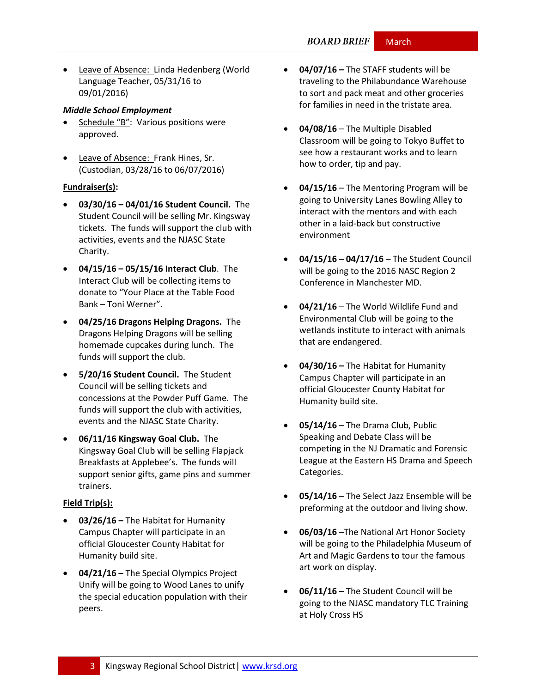Leave of Absence: Linda Hedenberg (World Language Teacher, 05/31/16 to 09/01/2016)

#### *Middle School Employment*

- Schedule "B": Various positions were approved.
- Leave of Absence: Frank Hines, Sr. (Custodian, 03/28/16 to 06/07/2016)

#### **Fundraiser(s):**

- **03/30/16 – 04/01/16 Student Council.** The Student Council will be selling Mr. Kingsway tickets. The funds will support the club with activities, events and the NJASC State Charity.
- **04/15/16 – 05/15/16 Interact Club**. The Interact Club will be collecting items to donate to "Your Place at the Table Food Bank – Toni Werner".
- **04/25/16 Dragons Helping Dragons.** The Dragons Helping Dragons will be selling homemade cupcakes during lunch. The funds will support the club.
- **5/20/16 Student Council.** The Student Council will be selling tickets and concessions at the Powder Puff Game. The funds will support the club with activities, events and the NJASC State Charity.
- **06/11/16 Kingsway Goal Club.** The Kingsway Goal Club will be selling Flapjack Breakfasts at Applebee's. The funds will support senior gifts, game pins and summer trainers.

#### **Field Trip(s):**

- **03/26/16 –** The Habitat for Humanity Campus Chapter will participate in an official Gloucester County Habitat for Humanity build site.
- **04/21/16 –** The Special Olympics Project Unify will be going to Wood Lanes to unify the special education population with their peers.
- **04/07/16 –** The STAFF students will be traveling to the Philabundance Warehouse to sort and pack meat and other groceries for families in need in the tristate area.
- **04/08/16** The Multiple Disabled Classroom will be going to Tokyo Buffet to see how a restaurant works and to learn how to order, tip and pay.
- **04/15/16** The Mentoring Program will be going to University Lanes Bowling Alley to interact with the mentors and with each other in a laid-back but constructive environment
- **04/15/16 – 04/17/16** The Student Council will be going to the 2016 NASC Region 2 Conference in Manchester MD.
- **04/21/16** The World Wildlife Fund and Environmental Club will be going to the wetlands institute to interact with animals that are endangered.
- **04/30/16 –** The Habitat for Humanity Campus Chapter will participate in an official Gloucester County Habitat for Humanity build site.
- **05/14/16** The Drama Club, Public Speaking and Debate Class will be competing in the NJ Dramatic and Forensic League at the Eastern HS Drama and Speech Categories.
- **05/14/16** The Select Jazz Ensemble will be preforming at the outdoor and living show.
- **06/03/16** –The National Art Honor Society will be going to the Philadelphia Museum of Art and Magic Gardens to tour the famous art work on display.
- **06/11/16** The Student Council will be going to the NJASC mandatory TLC Training at Holy Cross HS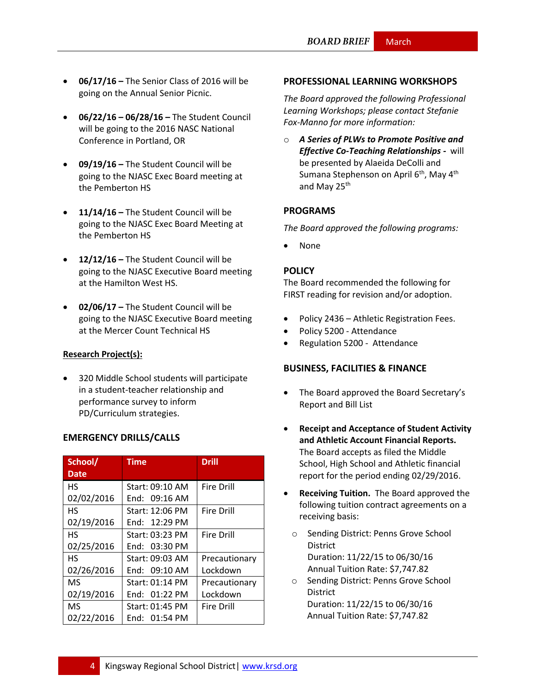- **06/17/16 –** The Senior Class of 2016 will be going on the Annual Senior Picnic.
- **06/22/16 – 06/28/16 –** The Student Council will be going to the 2016 NASC National Conference in Portland, OR
- **09/19/16 –** The Student Council will be going to the NJASC Exec Board meeting at the Pemberton HS
- **11/14/16 –** The Student Council will be going to the NJASC Exec Board Meeting at the Pemberton HS
- **12/12/16 –** The Student Council will be going to the NJASC Executive Board meeting at the Hamilton West HS.
- **02/06/17 –** The Student Council will be going to the NJASC Executive Board meeting at the Mercer Count Technical HS

#### **Research Project(s):**

 320 Middle School students will participate in a student-teacher relationship and performance survey to inform PD/Curriculum strategies.

## **EMERGENCY DRILLS/CALLS**

| School/     | Time            | <b>Drill</b>      |
|-------------|-----------------|-------------------|
| <b>Date</b> |                 |                   |
| НS          | Start: 09:10 AM | <b>Fire Drill</b> |
| 02/02/2016  | End: $09:16$ AM |                   |
| НS          | Start: 12:06 PM | <b>Fire Drill</b> |
| 02/19/2016  | Fnd: 12:29 PM   |                   |
| HS          | Start: 03:23 PM | <b>Fire Drill</b> |
| 02/25/2016  | End: 03:30 PM   |                   |
| HS          | Start: 09:03 AM | Precautionary     |
| 02/26/2016  | End: 09:10 AM   | Lockdown          |
| <b>MS</b>   | Start: 01:14 PM | Precautionary     |
| 02/19/2016  | End: 01:22 PM   | Lockdown          |
| MS          | Start: 01:45 PM | <b>Fire Drill</b> |
| 02/22/2016  | End: 01:54 PM   |                   |

#### **PROFESSIONAL LEARNING WORKSHOPS**

*The Board approved the following Professional Learning Workshops; please contact Stefanie Fox-Manno for more information:*

o *A Series of PLWs to Promote Positive and Effective Co-Teaching Relationships -* will be presented by Alaeida DeColli and Sumana Stephenson on April  $6<sup>th</sup>$ , May  $4<sup>th</sup>$ and May  $25<sup>th</sup>$ 

#### **PROGRAMS**

*The Board approved the following programs:*

None

#### **POLICY**

The Board recommended the following for FIRST reading for revision and/or adoption.

- Policy 2436 Athletic Registration Fees.
- Policy 5200 Attendance
- Regulation 5200 Attendance

## **BUSINESS, FACILITIES & FINANCE**

- The Board approved the Board Secretary's Report and Bill List
- **Receipt and Acceptance of Student Activity and Athletic Account Financial Reports.** The Board accepts as filed the Middle School, High School and Athletic financial report for the period ending 02/29/2016.
- **Receiving Tuition.** The Board approved the following tuition contract agreements on a receiving basis:
	- o Sending District: Penns Grove School District Duration: 11/22/15 to 06/30/16 Annual Tuition Rate: \$7,747.82
	- o Sending District: Penns Grove School **District** Duration: 11/22/15 to 06/30/16 Annual Tuition Rate: \$7,747.82